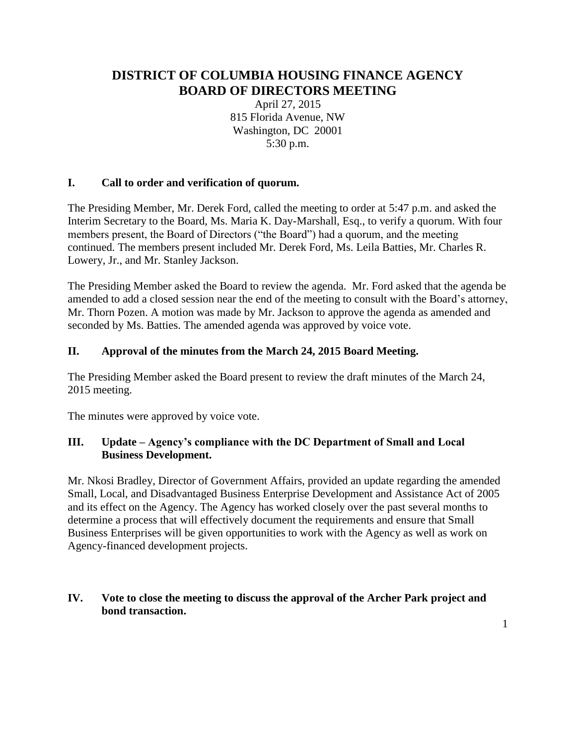# **DISTRICT OF COLUMBIA HOUSING FINANCE AGENCY BOARD OF DIRECTORS MEETING**

April 27, 2015 815 Florida Avenue, NW Washington, DC 20001 5:30 p.m.

#### **I. Call to order and verification of quorum.**

The Presiding Member, Mr. Derek Ford, called the meeting to order at 5:47 p.m. and asked the Interim Secretary to the Board, Ms. Maria K. Day-Marshall, Esq., to verify a quorum. With four members present, the Board of Directors ("the Board") had a quorum, and the meeting continued. The members present included Mr. Derek Ford, Ms. Leila Batties, Mr. Charles R. Lowery, Jr., and Mr. Stanley Jackson.

The Presiding Member asked the Board to review the agenda. Mr. Ford asked that the agenda be amended to add a closed session near the end of the meeting to consult with the Board's attorney, Mr. Thorn Pozen. A motion was made by Mr. Jackson to approve the agenda as amended and seconded by Ms. Batties. The amended agenda was approved by voice vote.

#### **II. Approval of the minutes from the March 24, 2015 Board Meeting.**

The Presiding Member asked the Board present to review the draft minutes of the March 24, 2015 meeting.

The minutes were approved by voice vote.

#### **III. Update – Agency's compliance with the DC Department of Small and Local Business Development.**

Mr. Nkosi Bradley, Director of Government Affairs, provided an update regarding the amended Small, Local, and Disadvantaged Business Enterprise Development and Assistance Act of 2005 and its effect on the Agency. The Agency has worked closely over the past several months to determine a process that will effectively document the requirements and ensure that Small Business Enterprises will be given opportunities to work with the Agency as well as work on Agency-financed development projects.

## **IV. Vote to close the meeting to discuss the approval of the Archer Park project and bond transaction.**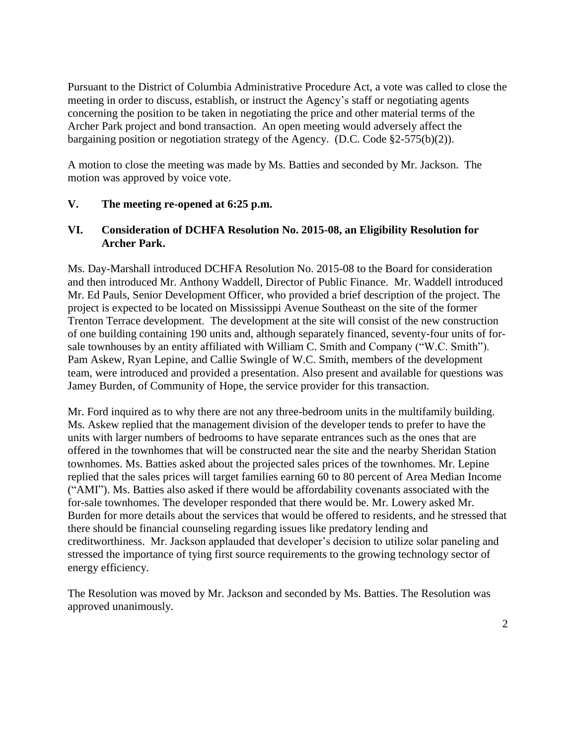Pursuant to the District of Columbia Administrative Procedure Act, a vote was called to close the meeting in order to discuss, establish, or instruct the Agency's staff or negotiating agents concerning the position to be taken in negotiating the price and other material terms of the Archer Park project and bond transaction. An open meeting would adversely affect the bargaining position or negotiation strategy of the Agency. (D.C. Code §2-575(b)(2)).

A motion to close the meeting was made by Ms. Batties and seconded by Mr. Jackson. The motion was approved by voice vote.

#### **V. The meeting re-opened at 6:25 p.m.**

#### **VI. Consideration of DCHFA Resolution No. 2015-08, an Eligibility Resolution for Archer Park.**

Ms. Day-Marshall introduced DCHFA Resolution No. 2015-08 to the Board for consideration and then introduced Mr. Anthony Waddell, Director of Public Finance. Mr. Waddell introduced Mr. Ed Pauls, Senior Development Officer, who provided a brief description of the project. The project is expected to be located on Mississippi Avenue Southeast on the site of the former Trenton Terrace development. The development at the site will consist of the new construction of one building containing 190 units and, although separately financed, seventy-four units of forsale townhouses by an entity affiliated with William C. Smith and Company ("W.C. Smith"). Pam Askew, Ryan Lepine, and Callie Swingle of W.C. Smith, members of the development team, were introduced and provided a presentation. Also present and available for questions was Jamey Burden, of Community of Hope, the service provider for this transaction.

Mr. Ford inquired as to why there are not any three-bedroom units in the multifamily building. Ms. Askew replied that the management division of the developer tends to prefer to have the units with larger numbers of bedrooms to have separate entrances such as the ones that are offered in the townhomes that will be constructed near the site and the nearby Sheridan Station townhomes. Ms. Batties asked about the projected sales prices of the townhomes. Mr. Lepine replied that the sales prices will target families earning 60 to 80 percent of Area Median Income ("AMI"). Ms. Batties also asked if there would be affordability covenants associated with the for-sale townhomes. The developer responded that there would be. Mr. Lowery asked Mr. Burden for more details about the services that would be offered to residents, and he stressed that there should be financial counseling regarding issues like predatory lending and creditworthiness. Mr. Jackson applauded that developer's decision to utilize solar paneling and stressed the importance of tying first source requirements to the growing technology sector of energy efficiency.

The Resolution was moved by Mr. Jackson and seconded by Ms. Batties. The Resolution was approved unanimously.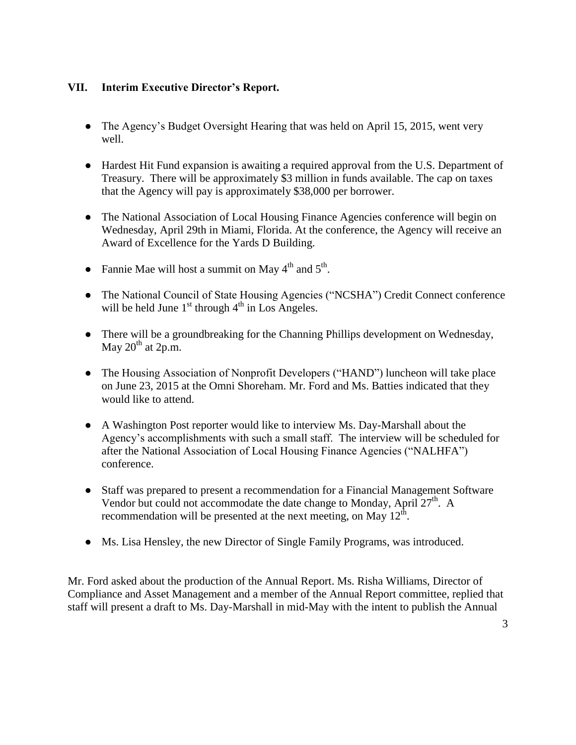## **VII. Interim Executive Director's Report.**

- The Agency's Budget Oversight Hearing that was held on April 15, 2015, went very well.
- Hardest Hit Fund expansion is awaiting a required approval from the U.S. Department of Treasury. There will be approximately \$3 million in funds available. The cap on taxes that the Agency will pay is approximately \$38,000 per borrower.
- The National Association of Local Housing Finance Agencies conference will begin on Wednesday, April 29th in Miami, Florida. At the conference, the Agency will receive an Award of Excellence for the Yards D Building.
- Fannie Mae will host a summit on May  $4^{\text{th}}$  and  $5^{\text{th}}$ .
- The National Council of State Housing Agencies ("NCSHA") Credit Connect conference will be held June  $1<sup>st</sup>$  through  $4<sup>th</sup>$  in Los Angeles.
- There will be a groundbreaking for the Channing Phillips development on Wednesday, May  $20^{th}$  at  $2p.m.$
- The Housing Association of Nonprofit Developers ("HAND") luncheon will take place on June 23, 2015 at the Omni Shoreham. Mr. Ford and Ms. Batties indicated that they would like to attend.
- A Washington Post reporter would like to interview Ms. Day-Marshall about the Agency's accomplishments with such a small staff. The interview will be scheduled for after the National Association of Local Housing Finance Agencies ("NALHFA") conference.
- Staff was prepared to present a recommendation for a Financial Management Software Vendor but could not accommodate the date change to Monday, April  $27<sup>th</sup>$ . A recommendation will be presented at the next meeting, on May  $12^{\text{th}}$ .
- Ms. Lisa Hensley, the new Director of Single Family Programs, was introduced.

Mr. Ford asked about the production of the Annual Report. Ms. Risha Williams, Director of Compliance and Asset Management and a member of the Annual Report committee, replied that staff will present a draft to Ms. Day-Marshall in mid-May with the intent to publish the Annual